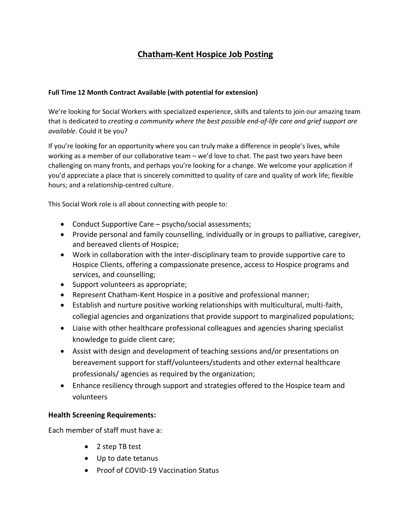## **Chatham-Kent Hospice Job Posting**

## **Full Time 12 Month Contract Available (with potential for extension)**

We're looking for Social Workers with specialized experience, skills and talents to join our amazing team that is dedicated to *creating a community where the best possible end-of-life care and grief support are available*. Could it be you?

If you're looking for an opportunity where you can truly make a difference in people's lives, while working as a member of our collaborative team – we'd love to chat. The past two years have been challenging on many fronts, and perhaps you're looking for a change. We welcome your application if you'd appreciate a place that is sincerely committed to quality of care and quality of work life; flexible hours; and a relationship-centred culture.

This Social Work role is all about connecting with people to:

- Conduct Supportive Care psycho/social assessments;
- Provide personal and family counselling, individually or in groups to palliative, caregiver, and bereaved clients of Hospice;
- Work in collaboration with the inter-disciplinary team to provide supportive care to Hospice Clients, offering a compassionate presence, access to Hospice programs and services, and counselling;
- Support volunteers as appropriate;
- Represent Chatham-Kent Hospice in a positive and professional manner;
- Establish and nurture positive working relationships with multicultural, multi-faith, collegial agencies and organizations that provide support to marginalized populations;
- Liaise with other healthcare professional colleagues and agencies sharing specialist knowledge to guide client care;
- Assist with design and development of teaching sessions and/or presentations on bereavement support for staff/volunteers/students and other external healthcare professionals/ agencies as required by the organization;
- Enhance resiliency through support and strategies offered to the Hospice team and volunteers

## **Health Screening Requirements:**

Each member of staff must have a:

- 2 step TB test
- Up to date tetanus
- Proof of COVID-19 Vaccination Status